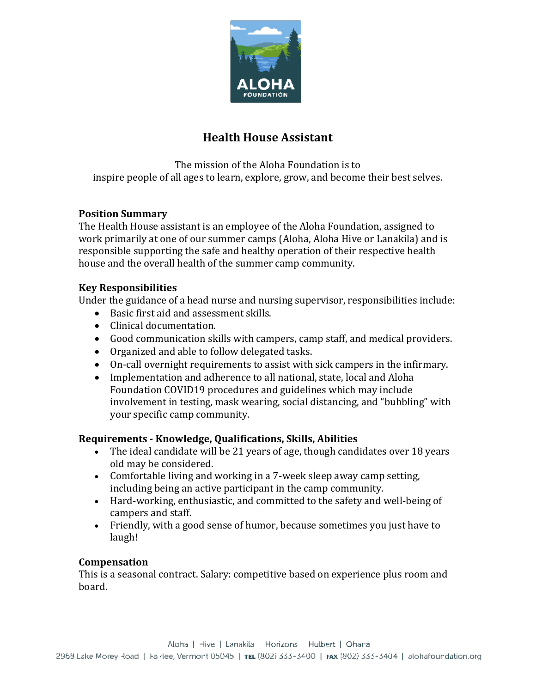

# **Health House Assistant**

The mission of the Aloha Foundation is to inspire people of all ages to learn, explore, grow, and become their best selves.

### **Position Summary**

The Health House assistant is an employee of the Aloha Foundation, assigned to work primarily at one of our summer camps (Aloha, Aloha Hive or Lanakila) and is responsible supporting the safe and healthy operation of their respective health house and the overall health of the summer camp community.

### **Key Responsibilities**

Under the guidance of a head nurse and nursing supervisor, responsibilities include:

- Basic first aid and assessment skills.
- Clinical documentation.
- Good communication skills with campers, camp staff, and medical providers.
- Organized and able to follow delegated tasks.
- On-call overnight requirements to assist with sick campers in the infirmary.
- Implementation and adherence to all national, state, local and Aloha Foundation COVID19 procedures and guidelines which may include involvement in testing, mask wearing, social distancing, and "bubbling" with your specific camp community.

### **Requirements - Knowledge, Qualifications, Skills, Abilities**

- The ideal candidate will be 21 years of age, though candidates over 18 years old may be considered.
- Comfortable living and working in a 7-week sleep away camp setting, including being an active participant in the camp community.
- Hard-working, enthusiastic, and committed to the safety and well-being of campers and staff.
- Friendly, with a good sense of humor, because sometimes you just have to laugh!

### **Compensation**

This is a seasonal contract. Salary: competitive based on experience plus room and board.